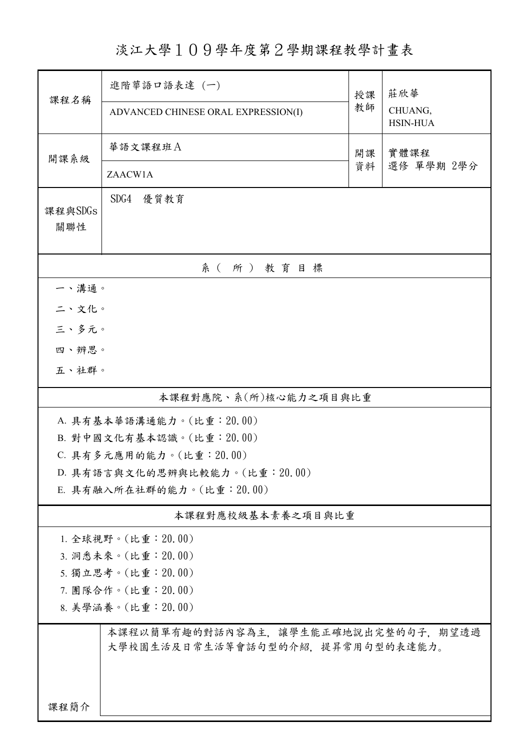淡江大學109學年度第2學期課程教學計畫表

| 課程名稱                           | 進階華語口語表達 (一)                        | 授課                 | 莊欣華                        |  |
|--------------------------------|-------------------------------------|--------------------|----------------------------|--|
|                                | ADVANCED CHINESE ORAL EXPRESSION(I) | 教師                 | CHUANG,<br><b>HSIN-HUA</b> |  |
| 開課系級                           | 華語文課程班A                             |                    |                            |  |
|                                |                                     | 實體課程<br>選修 單學期 2學分 |                            |  |
|                                | ZAACW1A                             | 資料                 |                            |  |
| 課程與SDGs                        | SDG4 優質教育                           |                    |                            |  |
| 關聯性                            |                                     |                    |                            |  |
|                                |                                     |                    |                            |  |
| 系(所)教育目標                       |                                     |                    |                            |  |
| 一、溝通。                          |                                     |                    |                            |  |
| 二、文化。                          |                                     |                    |                            |  |
| 三、多元。                          |                                     |                    |                            |  |
| 四、辨思。                          |                                     |                    |                            |  |
| 五、社群。                          |                                     |                    |                            |  |
| 本課程對應院、系(所)核心能力之項目與比重          |                                     |                    |                            |  |
| A. 具有基本華語溝通能力。(比重: 20.00)      |                                     |                    |                            |  |
| B. 對中國文化有基本認識。(比重: 20.00)      |                                     |                    |                            |  |
| C. 具有多元應用的能力。(比重: 20.00)       |                                     |                    |                            |  |
| D. 具有語言與文化的思辨與比較能力。(比重: 20.00) |                                     |                    |                            |  |
| E. 具有融入所在社群的能力。(比重:20.00)      |                                     |                    |                            |  |
|                                | 本課程對應校級基本素養之項目與比重                   |                    |                            |  |
| 1. 全球視野。(比重: 20.00)            |                                     |                    |                            |  |
| 3. 洞悉未來。(比重: 20.00)            |                                     |                    |                            |  |
| 5. 獨立思考。(比重: 20.00)            |                                     |                    |                            |  |
| 7. 團隊合作。(比重:20.00)             |                                     |                    |                            |  |
| 8. 美學涵養。(比重: 20.00)            |                                     |                    |                            |  |
|                                | 本課程以簡單有趣的對話內容為主,讓學生能正確地說出完整的句子,期望透過 |                    |                            |  |
|                                | 大學校園生活及日常生活等會話句型的介紹,提昇常用句型的表達能力。    |                    |                            |  |
|                                |                                     |                    |                            |  |
|                                |                                     |                    |                            |  |
| 課程簡介                           |                                     |                    |                            |  |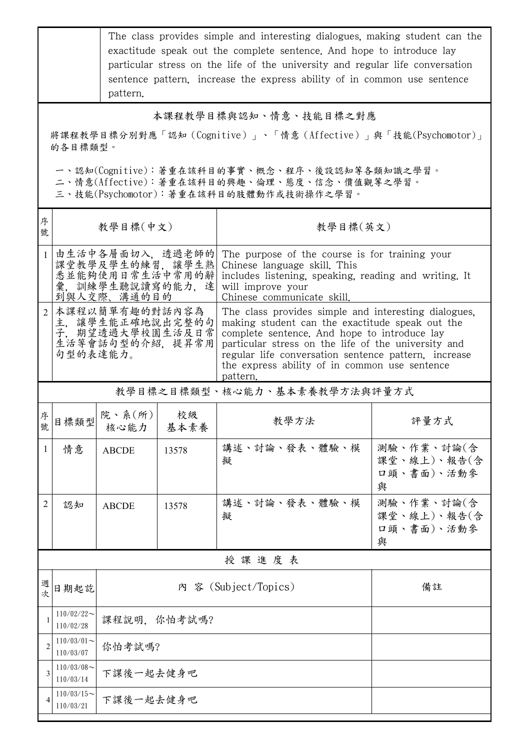|                                                                                                                                        | The class provides simple and interesting dialogues, making student can the<br>exactitude speak out the complete sentence. And hope to introduce lay<br>particular stress on the life of the university and regular life conversation<br>sentence pattern, increase the express ability of in common use sentence<br>pattern. |                                                                                                                                                                                                                                                                                                                                                                                                                   |            |                                                                                                                                                                                            |                                              |  |  |
|----------------------------------------------------------------------------------------------------------------------------------------|-------------------------------------------------------------------------------------------------------------------------------------------------------------------------------------------------------------------------------------------------------------------------------------------------------------------------------|-------------------------------------------------------------------------------------------------------------------------------------------------------------------------------------------------------------------------------------------------------------------------------------------------------------------------------------------------------------------------------------------------------------------|------------|--------------------------------------------------------------------------------------------------------------------------------------------------------------------------------------------|----------------------------------------------|--|--|
|                                                                                                                                        | 本課程教學目標與認知、情意、技能目標之對應                                                                                                                                                                                                                                                                                                         |                                                                                                                                                                                                                                                                                                                                                                                                                   |            |                                                                                                                                                                                            |                                              |  |  |
| 將課程教學目標分別對應「認知(Cognitive)」、「情意(Affective)」與「技能(Psychomotor)」<br>的各目標類型。                                                                |                                                                                                                                                                                                                                                                                                                               |                                                                                                                                                                                                                                                                                                                                                                                                                   |            |                                                                                                                                                                                            |                                              |  |  |
| 一、認知(Cognitive):著重在該科目的事實、概念、程序、後設認知等各類知識之學習。<br>二、情意(Affective):著重在該科目的興趣、倫理、態度、信念、價值觀等之學習。<br>三、技能(Psychomotor):著重在該科目的肢體動作或技術操作之學習。 |                                                                                                                                                                                                                                                                                                                               |                                                                                                                                                                                                                                                                                                                                                                                                                   |            |                                                                                                                                                                                            |                                              |  |  |
| 序<br>號                                                                                                                                 |                                                                                                                                                                                                                                                                                                                               | 教學目標(中文)<br>教學目標(英文)                                                                                                                                                                                                                                                                                                                                                                                              |            |                                                                                                                                                                                            |                                              |  |  |
|                                                                                                                                        |                                                                                                                                                                                                                                                                                                                               | 由生活中各層面切入,透過老師的<br>課堂教學及學生的練習,讓學生熟<br>悉並能夠使用日常生活中常用的辭<br>彙,訓練學生聽說讀寫的能力,達<br>到與人交際、溝通的目的                                                                                                                                                                                                                                                                                                                           |            | The purpose of the course is for training your<br>Chinese language skill. This<br>includes listening, speaking, reading and writing. It<br>will improve your<br>Chinese communicate skill. |                                              |  |  |
|                                                                                                                                        | 句型的表達能力。                                                                                                                                                                                                                                                                                                                      | 2 本課程以簡單有趣的對話內容為<br>The class provides simple and interesting dialogues,<br>主,讓學生能正確地說出完整的句<br>making student can the exactitude speak out the<br>子, 期望透過大學校園生活及日常<br>complete sentence. And hope to introduce lay<br>生活等會話句型的介紹,提昇常用<br>particular stress on the life of the university and<br>regular life conversation sentence pattern, increase<br>the express ability of in common use sentence<br>pattern. |            |                                                                                                                                                                                            |                                              |  |  |
| 教學目標之目標類型、核心能力、基本素養教學方法與評量方式                                                                                                           |                                                                                                                                                                                                                                                                                                                               |                                                                                                                                                                                                                                                                                                                                                                                                                   |            |                                                                                                                                                                                            |                                              |  |  |
| 序<br>號                                                                                                                                 |                                                                                                                                                                                                                                                                                                                               | <br> 目標類型  院、系(所) <br> +                                                                                                                                                                                                                                                                                                                                                                                          | 校級<br>基本素養 | 教學方法                                                                                                                                                                                       | 評量方式                                         |  |  |
| $\mathbf{1}$                                                                                                                           | 情意                                                                                                                                                                                                                                                                                                                            | <b>ABCDE</b>                                                                                                                                                                                                                                                                                                                                                                                                      | 13578      | 講述、討論、發表、體驗、模<br>擬                                                                                                                                                                         | 測驗、作業、討論(含<br>課堂、線上)、報告(含<br>口頭、書面)、活動參<br>與 |  |  |
| $\overline{2}$                                                                                                                         | 認知                                                                                                                                                                                                                                                                                                                            | <b>ABCDE</b>                                                                                                                                                                                                                                                                                                                                                                                                      | 13578      | 講述、討論、發表、體驗、模<br>擬                                                                                                                                                                         | 測驗、作業、討論(含<br>課堂、線上)、報告(含<br>口頭、書面)、活動參<br>與 |  |  |
|                                                                                                                                        |                                                                                                                                                                                                                                                                                                                               |                                                                                                                                                                                                                                                                                                                                                                                                                   |            | 授課進度表                                                                                                                                                                                      |                                              |  |  |
| 週<br>次                                                                                                                                 | 日期起訖                                                                                                                                                                                                                                                                                                                          | 內 容 (Subject/Topics)                                                                                                                                                                                                                                                                                                                                                                                              |            | 備註                                                                                                                                                                                         |                                              |  |  |
| 1                                                                                                                                      | $110/02/22$ ~<br>110/02/28                                                                                                                                                                                                                                                                                                    | 課程說明, 你怕考試嗎?                                                                                                                                                                                                                                                                                                                                                                                                      |            |                                                                                                                                                                                            |                                              |  |  |
| $\overline{2}$                                                                                                                         | $110/03/01$ ~<br>110/03/07                                                                                                                                                                                                                                                                                                    | 你怕考試嗎?                                                                                                                                                                                                                                                                                                                                                                                                            |            |                                                                                                                                                                                            |                                              |  |  |
| 3                                                                                                                                      | $110/03/08$ ~<br>110/03/14                                                                                                                                                                                                                                                                                                    | 下課後一起去健身吧                                                                                                                                                                                                                                                                                                                                                                                                         |            |                                                                                                                                                                                            |                                              |  |  |
|                                                                                                                                        | $110/03/15$ ~<br>110/03/21                                                                                                                                                                                                                                                                                                    | 下課後一起去健身吧                                                                                                                                                                                                                                                                                                                                                                                                         |            |                                                                                                                                                                                            |                                              |  |  |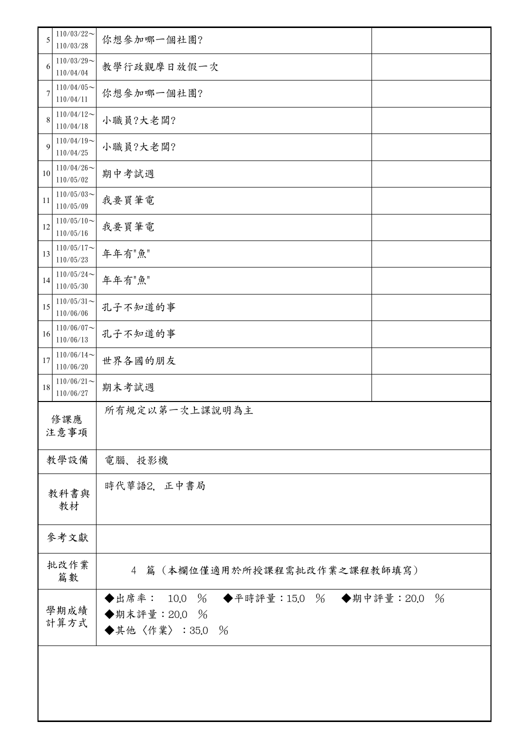| 5            | $110/03/22$ ~<br>110/03/28 | 你想參加哪一個社團?                                                               |      |  |
|--------------|----------------------------|--------------------------------------------------------------------------|------|--|
| 6            | $110/03/29$ ~<br>110/04/04 | 教學行政觀摩日放假一次                                                              |      |  |
| 7            | $110/04/05$ ~<br>110/04/11 | 你想參加哪一個社團?                                                               |      |  |
| 8            | $110/04/12$ ~<br>110/04/18 | 小職員?大老闆?                                                                 |      |  |
| 9            | $110/04/19$ ~<br>110/04/25 | 小職員?大老闆?                                                                 |      |  |
| 10           | $110/04/26$ ~<br>110/05/02 | 期中考試週                                                                    |      |  |
| 11           | $110/05/03$ ~<br>110/05/09 | 我要買筆電                                                                    |      |  |
| 12           | $110/05/10$ ~<br>110/05/16 | 我要買筆電                                                                    |      |  |
| 13           | $110/05/17$ ~<br>110/05/23 | 年年有"魚"                                                                   |      |  |
| 14           | $110/05/24$ ~<br>110/05/30 | 年年有"魚"                                                                   |      |  |
| 15           | $110/05/31$ ~<br>110/06/06 | 孔子不知道的事                                                                  |      |  |
| 16           | $110/06/07$ ~<br>110/06/13 | 孔子不知道的事                                                                  |      |  |
| 17           | $110/06/14$ ~<br>110/06/20 | 世界各國的朋友                                                                  |      |  |
| 18           | $110/06/21$ ~<br>110/06/27 | 期末考試週                                                                    |      |  |
| 修課應<br>注意事項  |                            | 所有規定以第一次上課說明為主                                                           |      |  |
|              | 教學設備                       | 電腦、投影機                                                                   |      |  |
| 教科書與<br>教材   |                            | 時代華語2, 正中書局                                                              |      |  |
|              | 參考文獻                       |                                                                          |      |  |
| 批改作業<br>篇數   |                            | 4 篇 (本欄位僅適用於所授課程需批改作業之課程教師填寫)                                            |      |  |
| 學期成績<br>計算方式 |                            | ◆出席率: 10.0 % ◆平時評量:15.0 % ◆期中評量:20.0<br>◆期末評量: 20.0 %<br>◆其他〈作業〉: 35.0 % | $\%$ |  |
|              |                            |                                                                          |      |  |